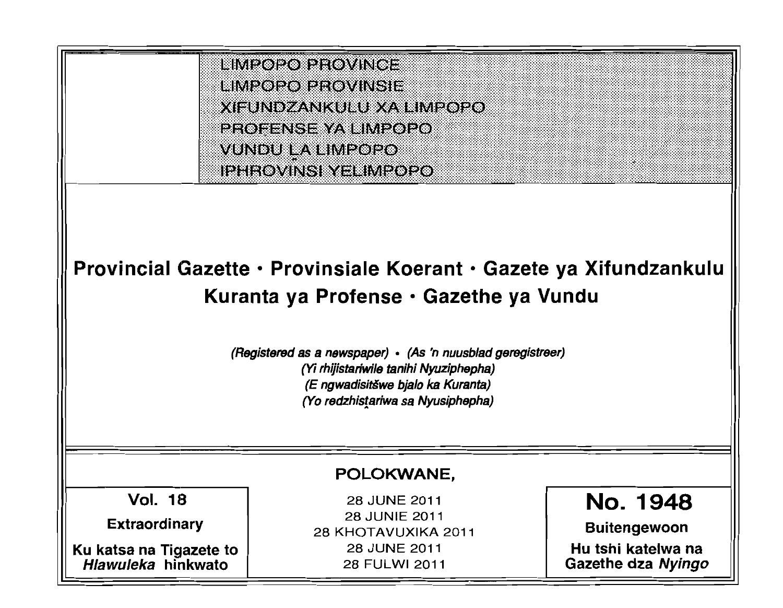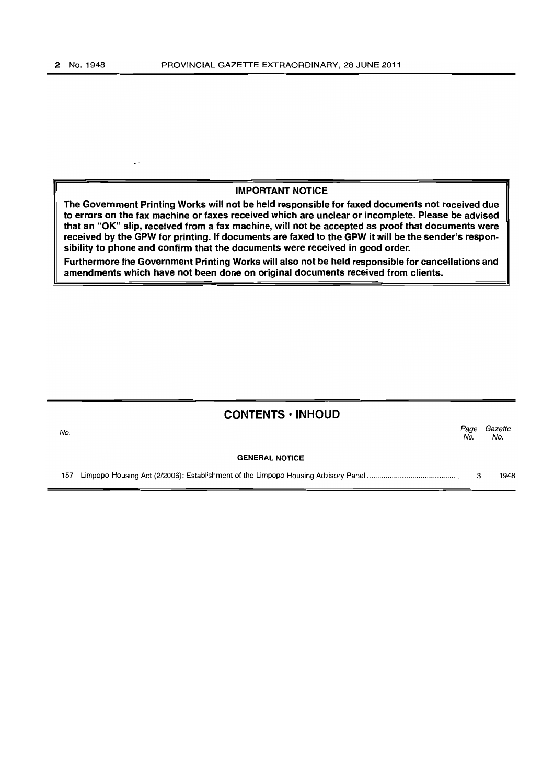#### IMPORTANT NOTICE

The Government Printing Works will not be held responsible for faxed documents not received due to errors on the fax machine or faxes received which are unclear or incomplete. Please be advised that an "OK" slip, received from a fax machine, will not be accepted as proof that documents were received by the GPW for printing. If documents are faxed to the GPW it will be the sender's responsibility to phone and confirm that the documents were received in good order.

Furthermore the Government Printing Works will also not be held responsible for cancellations and amendments which have not been done on original documents received from clients.

# **CONTENTS· INHOUD**

| No. |                       | No. | Page Gazette<br>No. |
|-----|-----------------------|-----|---------------------|
|     | <b>GENERAL NOTICE</b> |     |                     |

157 Limpopo Housing Act (2/2006): Establishment of the Limpopo Housing Advisory Panel ........................................... .. 3 1948